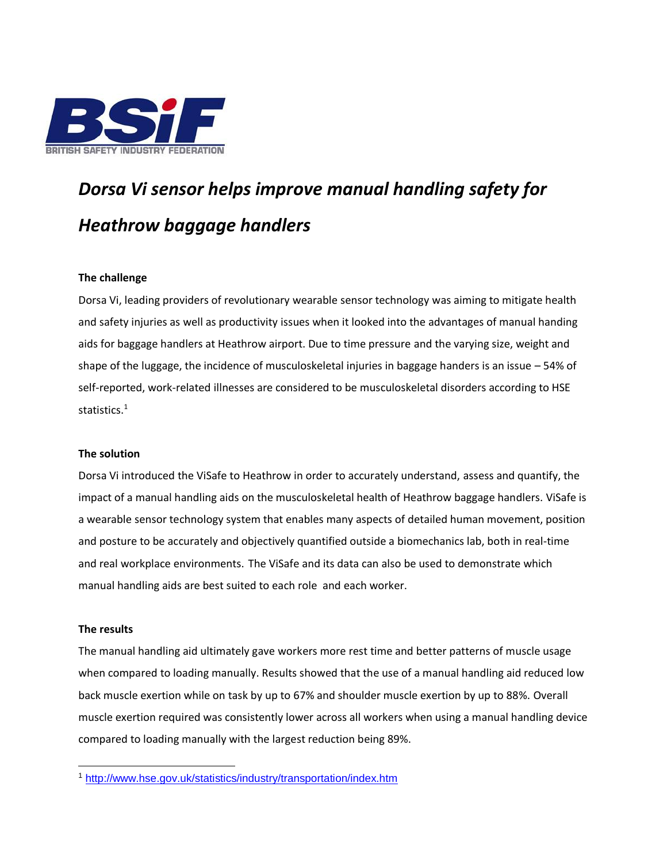

# *Dorsa Vi sensor helps improve manual handling safety for Heathrow baggage handlers*

## **The challenge**

Dorsa Vi, leading providers of revolutionary wearable sensor technology was aiming to mitigate health and safety injuries as well as productivity issues when it looked into the advantages of manual handing aids for baggage handlers at Heathrow airport. Due to time pressure and the varying size, weight and shape of the luggage, the incidence of musculoskeletal injuries in baggage handers is an issue – 54% of self-reported, work-related illnesses are considered to be musculoskeletal disorders according to HSE statistics.<sup>1</sup>

## **The solution**

Dorsa Vi introduced the ViSafe to Heathrow in order to accurately understand, assess and quantify, the impact of a manual handling aids on the musculoskeletal health of Heathrow baggage handlers. ViSafe is a wearable sensor technology system that enables many aspects of detailed human movement, position and posture to be accurately and objectively quantified outside a biomechanics lab, both in real-time and real workplace environments. The ViSafe and its data can also be used to demonstrate which manual handling aids are best suited to each role and each worker.

## **The results**

 $\overline{a}$ 

The manual handling aid ultimately gave workers more rest time and better patterns of muscle usage when compared to loading manually. Results showed that the use of a manual handling aid reduced low back muscle exertion while on task by up to 67% and shoulder muscle exertion by up to 88%. Overall muscle exertion required was consistently lower across all workers when using a manual handling device compared to loading manually with the largest reduction being 89%.

<sup>1</sup> <http://www.hse.gov.uk/statistics/industry/transportation/index.htm>